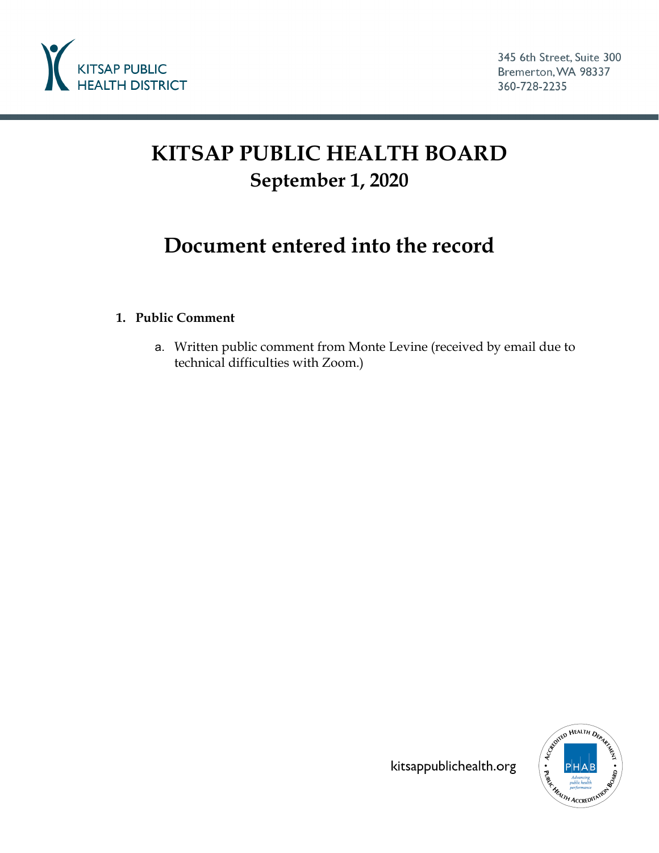

## **KITSAP PUBLIC HEALTH BOARD September 1, 2020**

## **Document entered into the record**

## **1. Public Comment**

a. Written public comment from Monte Levine (received by email due to technical difficulties with Zoom.)



kitsappublichealth.org